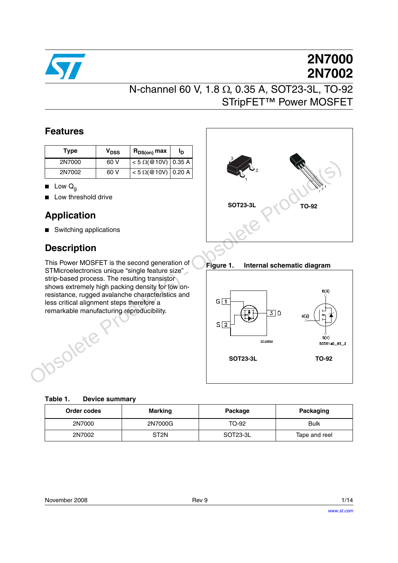

# **2N7000 2N7002**

## N-channel 60 V, 1.8 Ω, 0.35 A, SOT23-3L, TO-92 STripFET™ Power MOSFET

### **Features**

| Type   | V <sub>DSS</sub> | R <sub>DS(on)</sub> max       | םי |
|--------|------------------|-------------------------------|----|
| 2N7000 | 60 V             | $< 5 \Omega ($ @10V)   0.35 A |    |
| 2N7002 | 60 V             | $< 5 \Omega ($ @10V) 0.20 A   |    |

- **■** Low  $Q_q$
- Low threshold drive

### **Application**

■ Switching applications

### **Description**

This Power MOSFET is the second generation of STMicroelectronics unique "single feature size" strip-based process. The resulting transistor shows extremely high packing density for low onresistance, rugged avalanche characteristics and less critical alignment steps therefore a remarkable manufacturing reproducibility.



**Figure 1. Internal schematic diagram**



| Order codes | Marking          | Package  | Packaging     |  |
|-------------|------------------|----------|---------------|--|
| 2N7000      | 2N7000G          | TO-92    | <b>Bulk</b>   |  |
| 2N7002      | ST <sub>2N</sub> | SOT23-3L | Tape and reel |  |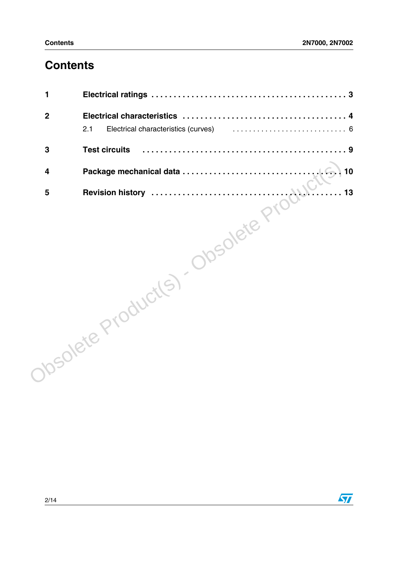## **Contents**

| Electrical characteristics (curves) (exercise contract exercise contract exercise contract exercise of $6$ |
|------------------------------------------------------------------------------------------------------------|
|                                                                                                            |
| 10                                                                                                         |
| 13                                                                                                         |
|                                                                                                            |
|                                                                                                            |
|                                                                                                            |
|                                                                                                            |
|                                                                                                            |
|                                                                                                            |
|                                                                                                            |
|                                                                                                            |
|                                                                                                            |
|                                                                                                            |
|                                                                                                            |

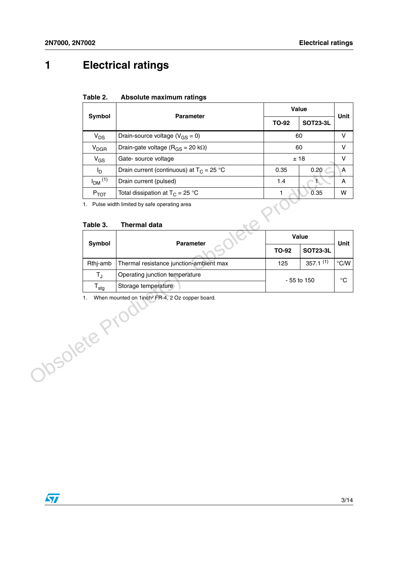## <span id="page-2-0"></span>**1 Electrical ratings**

#### **Table 2. Absolute maximum ratings**

| Symbol                  | <b>Parameter</b>                                | Value        | <b>Unit</b>     |   |
|-------------------------|-------------------------------------------------|--------------|-----------------|---|
|                         |                                                 | <b>TO-92</b> | <b>SOT23-3L</b> |   |
| $V_{DS}$                | Drain-source voltage ( $V_{GS} = 0$ )           | 60           | v               |   |
| <b>V<sub>DGR</sub></b>  | Drain-gate voltage ( $R_{GS}$ = 20 k $\Omega$ ) | 60           |                 | v |
| $V_{GS}$                | Gate-source voltage                             | ±18          |                 | v |
| l <sub>D</sub>          | Drain current (continuous) at $T_c = 25 °C$     | 0.35         | 0.20            | A |
| $I_{DM}$ <sup>(1)</sup> | Drain current (pulsed)                          | 1.4          |                 | A |
| $P_{TOT}$               | Total dissipation at $T_C = 25$ °C              | 0.35         |                 |   |
|                         |                                                 |              |                 |   |

#### **Table 3. Thermal data**

|              | "GS                     | and source voltage                                                   |              | ∸ ≀∪            | v              |
|--------------|-------------------------|----------------------------------------------------------------------|--------------|-----------------|----------------|
|              | $I_{\mathsf{D}}$        | Drain current (continuous) at $T_C = 25 °C$                          | 0.35         | 0.20            | A              |
|              | $I_{DM}$ <sup>(1)</sup> | Drain current (pulsed)                                               | 1.4          | -70             | Α              |
|              | $P_{TOT}$               | Total dissipation at $T_C = 25 °C$                                   | 1.           | 0.35            | W              |
|              | Table 3.                | 1. Pulse width limited by safe operating area<br><b>Thermal data</b> |              |                 |                |
|              |                         |                                                                      |              | Value           |                |
|              | Symbol                  | Parameter                                                            | <b>TO-92</b> | <b>SOT23-3L</b> | Unit           |
|              | Rthj-amb                | Thermal resistance junction-ambient max                              | 125          | $357.1^{(1)}$   | $^{\circ}$ C/W |
|              | $T_{\rm J}$             | Operating junction temperature                                       |              |                 | $^{\circ}C$    |
|              | $T_{\text{stg}}$        | Storage temperature                                                  | - 55 to 150  |                 |                |
| Josolete Pr. | 1.                      | When mounted on 1inch <sup>2</sup> FR-4, 2 Oz copper board.          |              |                 |                |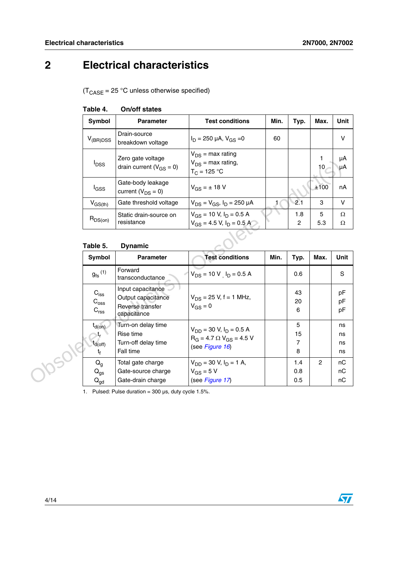## <span id="page-3-0"></span>**2 Electrical characteristics**

 $(T_{\text{CASE}} = 25 \text{ °C}$  unless otherwise specified)

| Symbol                  | <b>Parameter</b>                                    | <b>Test conditions</b>                                            | Min. | Typ.     | Max.                 | Unit     |
|-------------------------|-----------------------------------------------------|-------------------------------------------------------------------|------|----------|----------------------|----------|
| $V_{(BR)DSS}$           | Drain-source<br>breakdown voltage                   | $I_D = 250 \mu A$ , $V_{GS} = 0$                                  | 60   |          |                      | V        |
| <b>I</b> <sub>DSS</sub> | Zero gate voltage<br>drain current ( $V_{GS} = 0$ ) | $V_{DS}$ = max rating<br>$V_{DS}$ = max rating,<br>$T_C = 125 °C$ |      |          | 1<br>10 <sub>1</sub> | μA<br>μA |
| l <sub>GSS</sub>        | Gate-body leakage<br>current $(V_{DS} = 0)$         | $V_{GS} = \pm 18 V$                                               |      |          | ±100                 | nA       |
| $V_{GS(th)}$            | Gate threshold voltage                              | $V_{DS} = V_{GS}$ , $I_D = 250 \mu A$                             |      | 2.1      | 3                    | $\vee$   |
| $R_{DS(on)}$            | Static drain-source on<br>resistance                | $V_{GS}$ = 10 V, $I_D$ = 0.5 A<br>$V_{GS}$ = 4.5 V, $I_D$ = 0.5 A |      | 1.8<br>2 | 5<br>5.3             | Ω<br>Ω   |
| Table 5.                | <b>Dynamic</b>                                      |                                                                   |      |          |                      |          |
|                         |                                                     |                                                                   |      |          |                      |          |

### **Table 4. On/off states**

#### **Table 5. Dynamic**

| Luiu yulu vulluyu<br>$V_{DS}$ = max rating,<br><b>I</b> <sub>DSS</sub><br>drain current ( $V_{GS} = 0$ )<br>$T_C = 125 °C$ |                                                                            |                                                                                        | 10   | μιν<br>μA                      |                |                      |
|----------------------------------------------------------------------------------------------------------------------------|----------------------------------------------------------------------------|----------------------------------------------------------------------------------------|------|--------------------------------|----------------|----------------------|
| l <sub>GSS</sub>                                                                                                           | Gate-body leakage<br>current ( $V_{DS} = 0$ )                              | $V_{GS} = \pm 18 V$                                                                    |      |                                | ±100           | nA                   |
| $V_{GS(th)}$                                                                                                               | Gate threshold voltage                                                     | $V_{DS} = V_{GS}$ , $I_D = 250 \mu A$                                                  | 1    | 2.1                            | 3              | V                    |
| $R_{DS(on)}$                                                                                                               | Static drain-source on<br>resistance                                       | $V_{GS}$ = 10 V, $I_D$ = 0.5 A<br>$V_{GS}$ = 4.5 V, $I_D$ = 0.5 A                      |      | 1.8<br>$\mathbf{2}$            | 5<br>5.3       | Ω<br>Ω               |
| Table 5.                                                                                                                   | <b>Dynamic</b>                                                             |                                                                                        |      |                                |                |                      |
| <b>Symbol</b>                                                                                                              | <b>Parameter</b>                                                           | <b>Test conditions</b>                                                                 | Min. | Typ.                           | Max.           | Unit                 |
| $g_{\text{fs}}^{(1)}$                                                                                                      | Forward<br>transconductance                                                | $V_{DS}$ = 10 V $I_D$ = 0.5 A                                                          |      | 0.6                            |                | S                    |
| $C_{\text{iss}}$<br>$C_{\rm{oss}}$<br>$C_{rss}$                                                                            | Input capacitance<br>Output capacitance<br>Reverse transfer<br>capacitance | $V_{DS}$ = 25 V, f = 1 MHz,<br>$V_{GS} = 0$                                            |      | 43<br>20<br>6                  |                | pF<br>pF<br>pF       |
|                                                                                                                            |                                                                            |                                                                                        |      |                                |                |                      |
| $t_{\sf d(on)}$<br>$t_{d(off)}$<br>$t_{\rm f}$                                                                             | Turn-on delay time<br>Rise time<br>Turn-off delay time<br>Fall time        | $V_{DD}$ = 30 V, $I_D$ = 0.5 A<br>$R_G = 4.7 \Omega V_{GS} = 4.5 V$<br>(see Figure 16) |      | 5<br>15<br>$\overline{7}$<br>8 |                | ns<br>ns<br>ns<br>ns |
| 105016<br>$Q_g$<br>$Q_{gs}$                                                                                                | Total gate charge<br>Gate-source charge                                    | $V_{DD}$ = 30 V, $I_D$ = 1 A,<br>$V_{GS}$ = 5 V                                        |      | 1.4<br>0.8                     | $\overline{2}$ | nC<br>nC             |

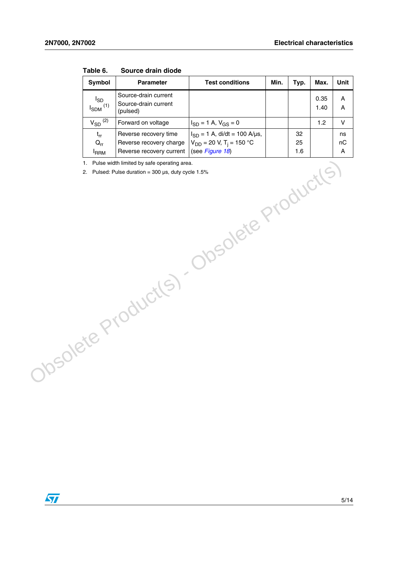| Symbol                                   | <b>Parameter</b>                                                             | <b>Test conditions</b>                                                                           | Min. | Typ.            | Max.         | Unit          |
|------------------------------------------|------------------------------------------------------------------------------|--------------------------------------------------------------------------------------------------|------|-----------------|--------------|---------------|
| $I_{SD}$<br>$I_{SDM}$ <sup>(1)</sup>     | Source-drain current<br>Source-drain current<br>(pulsed)                     |                                                                                                  |      |                 | 0.35<br>1.40 | А<br>А        |
| $V_{SD}$ <sup>(2)</sup>                  | Forward on voltage                                                           | $I_{SD} = 1$ A, $V_{GS} = 0$                                                                     |      |                 | 1.2          | v             |
| $t_{rr}$<br>$Q_{rr}$<br><sup>I</sup> RRM | Reverse recovery time<br>Reverse recovery charge<br>Reverse recovery current | $I_{SD} = 1$ A, di/dt = 100 A/µs,<br>$V_{DD}$ = 20 V, T <sub>i</sub> = 150 °C<br>(see Figure 18) |      | 32<br>25<br>1.6 |              | ns<br>nC<br>А |

**Table 6. Source drain diode**

1. Pulse width limited by safe operating area.

2. Pulsed: Pulse duration =  $300 \,\mu s$ , duty cycle 1.5% 1. Pulse with limited by sele operating area.<br>
2. Pulsed: Pulse diumbon - 300 µs, duty syste 1.5%<br>
Obsolete Product(S)<br>
Obsolete Product(S)

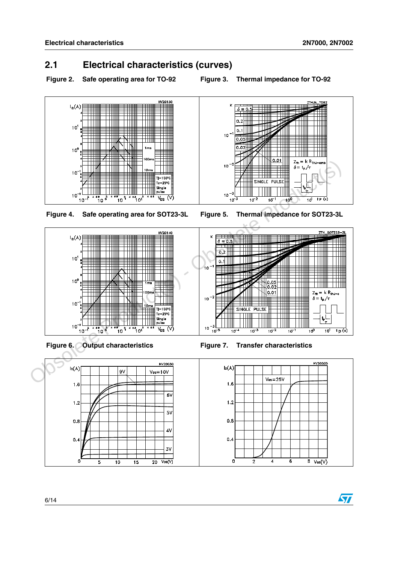### <span id="page-5-0"></span>**2.1 Electrical characteristics (curves)**

**Figure 2. Safe operating area for TO-92 Figure 3. Thermal impedance for TO-92**











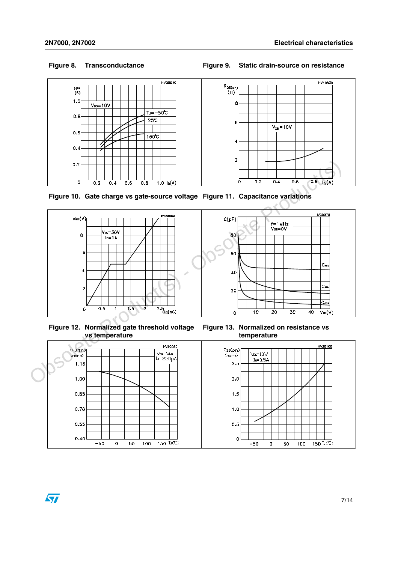#### **Figure 8. Transconductance Figure 9. Static drain-source on resistance**





**Figure 10. Gate charge vs gate-source voltage Figure 11. Capacitance variations**





**Figure 12. Normalized gate threshold voltage vs temperature**

**Figure 13. Normalized on resistance vs temperature**

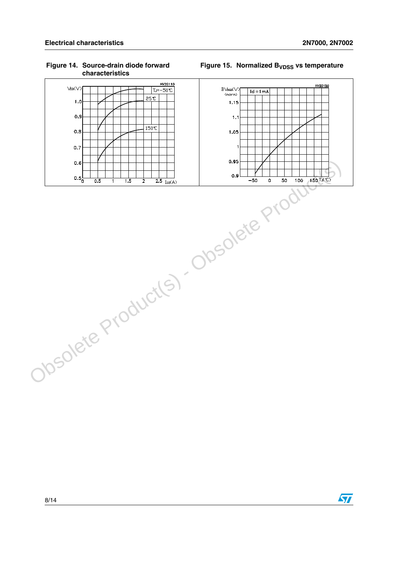$0.8$ 

 $0.7$ 

HV20120  $B\vee_{DSS}(\vee)$  $Id = 1mA$  $(norm)$  $1.15$  $1.1$  $1.05$ 

Figure 15. Normalized B<sub>VDSS</sub> vs temperature

#### HV20110  $\forall$ sp $(\vee)$ TJ=-50℃  $25C$  $1.0$  $0.9$

 $150C$ 



# $\sqrt{2}$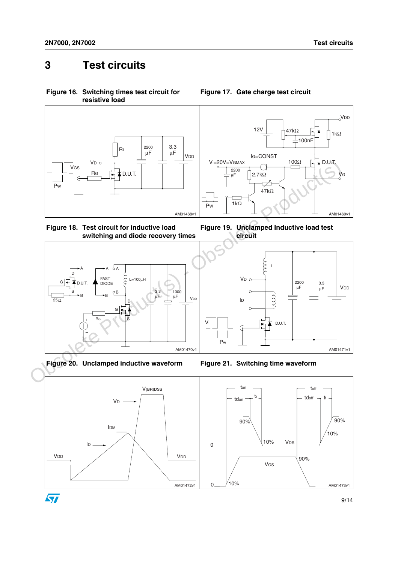## <span id="page-8-0"></span>**3 Test circuits**

<span id="page-8-1"></span>**Figure 16. Switching times test circuit for resistive load**



<span id="page-8-3"></span>





<span id="page-8-2"></span>







Vi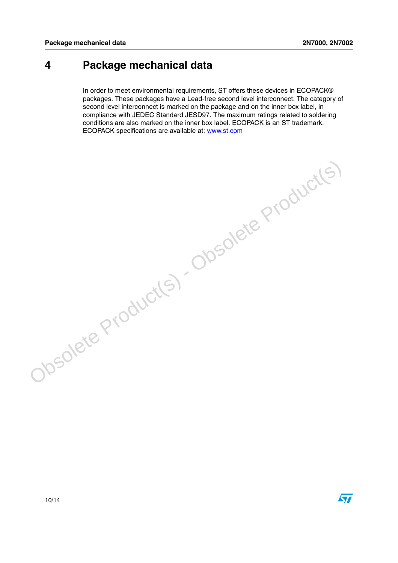### <span id="page-9-0"></span>**4 Package mechanical data**

In order to meet environmental requirements, ST offers these devices in ECOPACK® packages. These packages have a Lead-free second level interconnect. The category of second level interconnect is marked on the package and on the inner box label, in compliance with JEDEC Standard JESD97. The maximum ratings related to soldering conditions are also marked on the inner box label. ECOPACK is an ST trademark. ECOPACK specifications are available at: www.st.com

Obsolete Product(s) - Obsolete Product(s)

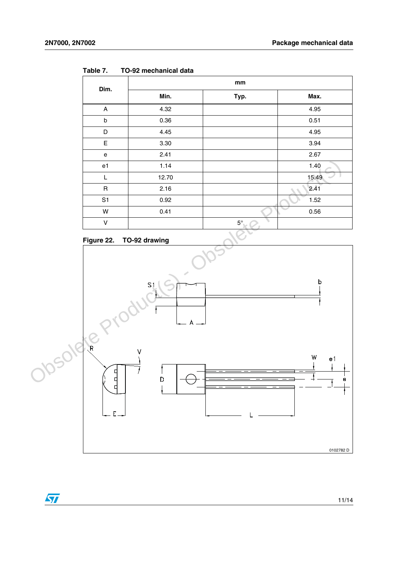$\sqrt{2}$ 

| Dim.                      | mm    |           |       |  |  |
|---------------------------|-------|-----------|-------|--|--|
|                           | Min.  | Typ.      | Max.  |  |  |
| $\boldsymbol{\mathsf{A}}$ | 4.32  |           | 4.95  |  |  |
| $\sf b$                   | 0.36  |           | 0.51  |  |  |
| D                         | 4.45  |           | 4.95  |  |  |
| $\mathsf E$               | 3.30  |           | 3.94  |  |  |
| ${\bf e}$                 | 2.41  |           | 2.67  |  |  |
| e1                        | 1.14  |           | 1.40  |  |  |
| L                         | 12.70 |           | 15.49 |  |  |
| $\mathsf{R}$              | 2.16  |           | 2.41  |  |  |
| S <sub>1</sub>            | 0.92  |           | 1.52  |  |  |
| W                         | 0.41  |           | 0.56  |  |  |
| V                         |       | $5^\circ$ |       |  |  |

<span id="page-10-0"></span>**Table 7. TO-92 mechanical data**

<span id="page-10-1"></span>



11/14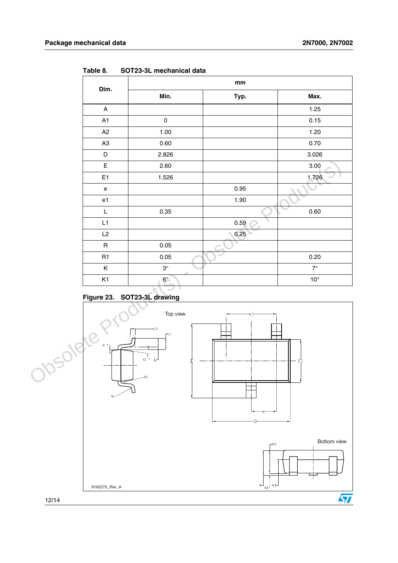<span id="page-11-0"></span>**Table 8. SOT23-3L mechanical data**

| Dim.                         |   | $\mathop{\text{mm}}\nolimits$                    |   |      |              |
|------------------------------|---|--------------------------------------------------|---|------|--------------|
|                              |   | Min.                                             |   | Typ. | Max.         |
| $\boldsymbol{\mathsf{A}}$    |   |                                                  |   |      | 1.25         |
| A1                           |   | $\pmb{0}$                                        |   |      | 0.15         |
| A2                           |   | 1.00                                             |   |      | 1.20         |
| A <sub>3</sub>               |   | 0.60                                             |   |      | 0.70         |
| $\mathsf D$                  |   | 2.826                                            |   |      | 3.026        |
| E                            |   | 2.60                                             |   |      | 3.00         |
| E1                           |   | 1.526                                            |   |      | 1.726        |
| e                            |   |                                                  |   | 0.95 |              |
| e <sub>1</sub>               |   |                                                  |   | 1.90 |              |
| L                            |   | 0.35                                             |   |      | 0.60         |
| L1                           |   |                                                  |   | 0.59 |              |
| L2                           |   |                                                  |   | 0.25 |              |
| $\sf R$                      |   | 0.05                                             | × |      |              |
| R1                           |   | 0.05                                             |   |      | 0.20         |
| $\mathsf K$                  |   | $3^\circ$                                        |   |      | $7^\circ$    |
| K1                           |   | $6^\circ$                                        |   |      | $10^{\circ}$ |
| Figure 23.                   |   | SOT23-3L drawing                                 |   |      |              |
|                              |   |                                                  |   |      |              |
|                              |   | Top view                                         |   | еŀ   |              |
| Josolete,<br>$K \rightarrow$ |   | $+2$<br>$H_{-1}$<br>$\overline{K_1}$ , $L$<br>R1 |   |      | $E_1$        |
|                              | R |                                                  |   |      |              |

### <span id="page-11-1"></span>**Figure 23. SOT23-3L drawing**

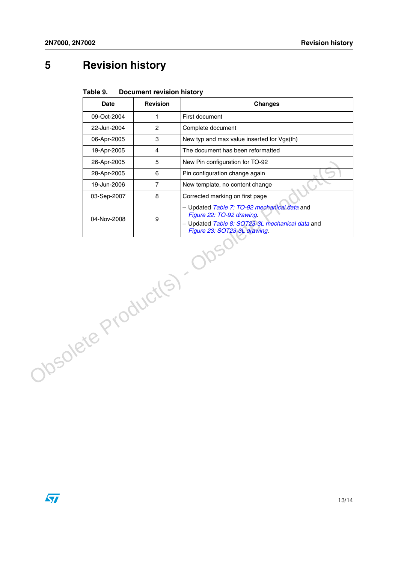## <span id="page-12-0"></span>**5 Revision history**

| Table 9. | <b>Document revision history</b> |
|----------|----------------------------------|
|----------|----------------------------------|

|                      | <b>Date</b> | <b>Revision</b> | <b>Changes</b>                                                                                                                                               |
|----------------------|-------------|-----------------|--------------------------------------------------------------------------------------------------------------------------------------------------------------|
|                      | 09-Oct-2004 | $\mathbf{1}$    | First document                                                                                                                                               |
|                      | 22-Jun-2004 | $\overline{2}$  | Complete document                                                                                                                                            |
|                      | 06-Apr-2005 | 3               | New typ and max value inserted for Vgs(th)                                                                                                                   |
|                      | 19-Apr-2005 | $\overline{4}$  | The document has been reformatted                                                                                                                            |
|                      | 26-Apr-2005 | 5               | New Pin configuration for TO-92                                                                                                                              |
|                      | 28-Apr-2005 | 6               | Pin configuration change again                                                                                                                               |
|                      | 19-Jun-2006 | $\overline{7}$  | New template, no content change                                                                                                                              |
|                      | 03-Sep-2007 | 8               | Corrected marking on first page                                                                                                                              |
|                      | 04-Nov-2008 | 9               | - Updated Table 7: TO-92 mechanical data and<br>Figure 22: TO-92 drawing.<br>- Updated Table 8: SOT23-3L mechanical data and<br>Figure 23: SOT23-3L drawing. |
| Obsolete Product(s). |             |                 |                                                                                                                                                              |